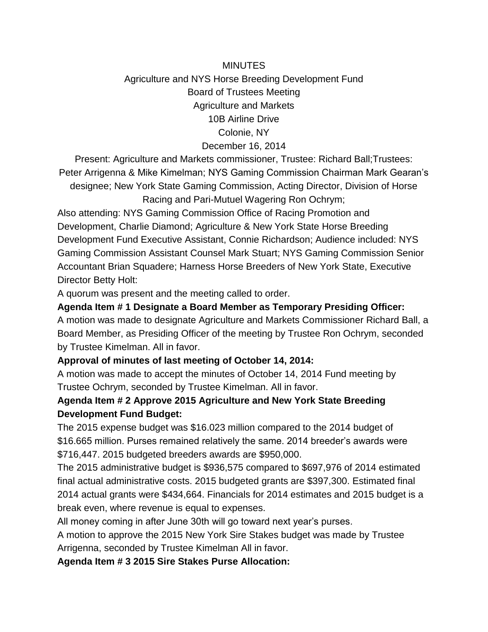# **MINUTES** Agriculture and NYS Horse Breeding Development Fund Board of Trustees Meeting Agriculture and Markets 10B Airline Drive Colonie, NY December 16, 2014

Present: Agriculture and Markets commissioner, Trustee: Richard Ball;Trustees: Peter Arrigenna & Mike Kimelman; NYS Gaming Commission Chairman Mark Gearan's designee; New York State Gaming Commission, Acting Director, Division of Horse Racing and Pari-Mutuel Wagering Ron Ochrym;

Also attending: NYS Gaming Commission Office of Racing Promotion and Development, Charlie Diamond; Agriculture & New York State Horse Breeding Development Fund Executive Assistant, Connie Richardson; Audience included: NYS Gaming Commission Assistant Counsel Mark Stuart; NYS Gaming Commission Senior Accountant Brian Squadere; Harness Horse Breeders of New York State, Executive Director Betty Holt:

A quorum was present and the meeting called to order.

#### **Agenda Item # 1 Designate a Board Member as Temporary Presiding Officer:**

A motion was made to designate Agriculture and Markets Commissioner Richard Ball, a Board Member, as Presiding Officer of the meeting by Trustee Ron Ochrym, seconded by Trustee Kimelman. All in favor.

### **Approval of minutes of last meeting of October 14, 2014:**

A motion was made to accept the minutes of October 14, 2014 Fund meeting by Trustee Ochrym, seconded by Trustee Kimelman. All in favor.

## **Agenda Item # 2 Approve 2015 Agriculture and New York State Breeding Development Fund Budget:**

The 2015 expense budget was \$16.023 million compared to the 2014 budget of \$16.665 million. Purses remained relatively the same. 2014 breeder's awards were \$716,447. 2015 budgeted breeders awards are \$950,000.

The 2015 administrative budget is \$936,575 compared to \$697,976 of 2014 estimated final actual administrative costs. 2015 budgeted grants are \$397,300. Estimated final 2014 actual grants were \$434,664. Financials for 2014 estimates and 2015 budget is a break even, where revenue is equal to expenses.

All money coming in after June 30th will go toward next year's purses.

A motion to approve the 2015 New York Sire Stakes budget was made by Trustee Arrigenna, seconded by Trustee Kimelman All in favor.

#### **Agenda Item # 3 2015 Sire Stakes Purse Allocation:**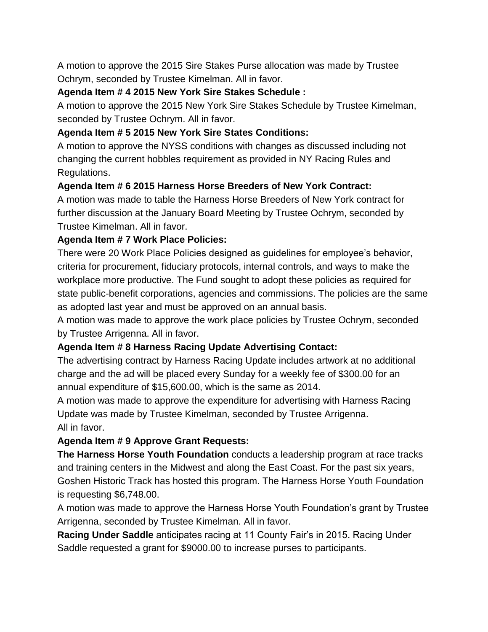A motion to approve the 2015 Sire Stakes Purse allocation was made by Trustee Ochrym, seconded by Trustee Kimelman. All in favor.

### **Agenda Item # 4 2015 New York Sire Stakes Schedule :**

A motion to approve the 2015 New York Sire Stakes Schedule by Trustee Kimelman, seconded by Trustee Ochrym. All in favor.

### **Agenda Item # 5 2015 New York Sire States Conditions:**

A motion to approve the NYSS conditions with changes as discussed including not changing the current hobbles requirement as provided in NY Racing Rules and Regulations.

### **Agenda Item # 6 2015 Harness Horse Breeders of New York Contract:**

A motion was made to table the Harness Horse Breeders of New York contract for further discussion at the January Board Meeting by Trustee Ochrym, seconded by Trustee Kimelman. All in favor.

### **Agenda Item # 7 Work Place Policies:**

There were 20 Work Place Policies designed as guidelines for employee's behavior, criteria for procurement, fiduciary protocols, internal controls, and ways to make the workplace more productive. The Fund sought to adopt these policies as required for state public-benefit corporations, agencies and commissions. The policies are the same as adopted last year and must be approved on an annual basis.

A motion was made to approve the work place policies by Trustee Ochrym, seconded by Trustee Arrigenna. All in favor.

# **Agenda Item # 8 Harness Racing Update Advertising Contact:**

The advertising contract by Harness Racing Update includes artwork at no additional charge and the ad will be placed every Sunday for a weekly fee of \$300.00 for an annual expenditure of \$15,600.00, which is the same as 2014.

A motion was made to approve the expenditure for advertising with Harness Racing Update was made by Trustee Kimelman, seconded by Trustee Arrigenna. All in favor.

# **Agenda Item # 9 Approve Grant Requests:**

**The Harness Horse Youth Foundation** conducts a leadership program at race tracks and training centers in the Midwest and along the East Coast. For the past six years, Goshen Historic Track has hosted this program. The Harness Horse Youth Foundation is requesting \$6,748.00.

A motion was made to approve the Harness Horse Youth Foundation's grant by Trustee Arrigenna, seconded by Trustee Kimelman. All in favor.

**Racing Under Saddle** anticipates racing at 11 County Fair's in 2015. Racing Under Saddle requested a grant for \$9000.00 to increase purses to participants.